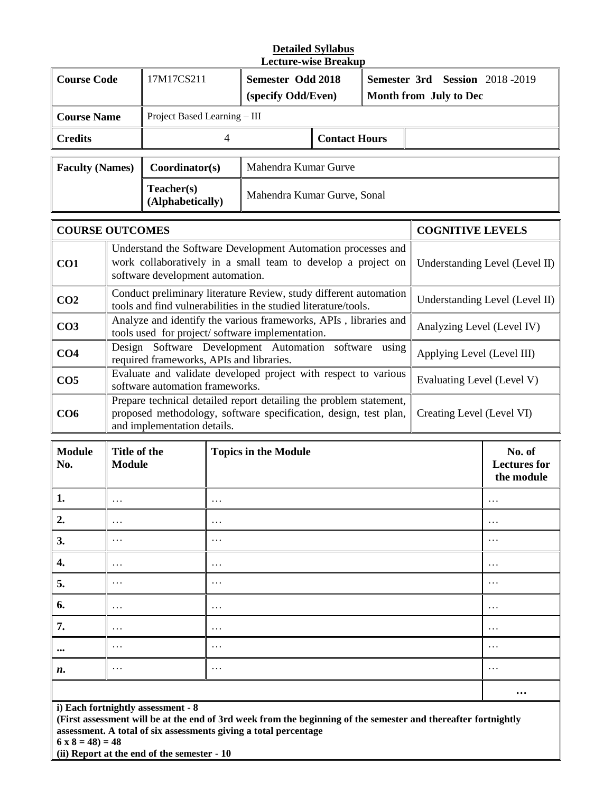## **Detailed Syllabus Lecture-wise Breakup**

| <b>Course Code</b>                                          |                                                                                                                     | 17M17CS211                     |                                                                                                                                                                     | <b>Semester Odd 2018</b><br>(specify Odd/Even)                                                                                       |                                             |                            | Semester 3rd Session 2018-2019<br>Month from July to Dec |                                |  |
|-------------------------------------------------------------|---------------------------------------------------------------------------------------------------------------------|--------------------------------|---------------------------------------------------------------------------------------------------------------------------------------------------------------------|--------------------------------------------------------------------------------------------------------------------------------------|---------------------------------------------|----------------------------|----------------------------------------------------------|--------------------------------|--|
| <b>Course Name</b>                                          |                                                                                                                     |                                | Project Based Learning - III                                                                                                                                        |                                                                                                                                      |                                             |                            |                                                          |                                |  |
| <b>Credits</b>                                              |                                                                                                                     | 4                              |                                                                                                                                                                     |                                                                                                                                      | <b>Contact Hours</b>                        |                            |                                                          |                                |  |
| <b>Faculty (Names)</b>                                      |                                                                                                                     | Coordinator(s)                 |                                                                                                                                                                     | Mahendra Kumar Gurve                                                                                                                 |                                             |                            |                                                          |                                |  |
|                                                             |                                                                                                                     | Teacher(s)<br>(Alphabetically) |                                                                                                                                                                     | Mahendra Kumar Gurve, Sonal                                                                                                          |                                             |                            |                                                          |                                |  |
| <b>COURSE OUTCOMES</b>                                      |                                                                                                                     |                                |                                                                                                                                                                     |                                                                                                                                      |                                             |                            | <b>COGNITIVE LEVELS</b>                                  |                                |  |
| CO1                                                         |                                                                                                                     |                                | Understand the Software Development Automation processes and<br>work collaboratively in a small team to develop a project on<br>software development automation.    |                                                                                                                                      |                                             |                            |                                                          | Understanding Level (Level II) |  |
| CO <sub>2</sub>                                             |                                                                                                                     |                                |                                                                                                                                                                     | Conduct preliminary literature Review, study different automation<br>tools and find vulnerabilities in the studied literature/tools. |                                             |                            |                                                          | Understanding Level (Level II) |  |
| CO <sub>3</sub>                                             | Analyze and identify the various frameworks, APIs, libraries and<br>tools used for project/software implementation. |                                |                                                                                                                                                                     |                                                                                                                                      |                                             | Analyzing Level (Level IV) |                                                          |                                |  |
| CO <sub>4</sub><br>required frameworks, APIs and libraries. |                                                                                                                     |                                | Design Software Development Automation software using<br>Applying Level (Level III)                                                                                 |                                                                                                                                      |                                             |                            |                                                          |                                |  |
| CO <sub>5</sub>                                             | Evaluate and validate developed project with respect to various<br>software automation frameworks.                  |                                |                                                                                                                                                                     |                                                                                                                                      |                                             |                            |                                                          | Evaluating Level (Level V)     |  |
| CO6<br>and implementation details.                          |                                                                                                                     |                                | Prepare technical detailed report detailing the problem statement,<br>proposed methodology, software specification, design, test plan,<br>Creating Level (Level VI) |                                                                                                                                      |                                             |                            |                                                          |                                |  |
| <b>Module</b><br>No.                                        | Title of the<br><b>Topics in the Module</b><br><b>Module</b>                                                        |                                |                                                                                                                                                                     |                                                                                                                                      | No. of<br><b>Lectures</b> for<br>the module |                            |                                                          |                                |  |
| 1.                                                          |                                                                                                                     |                                | .                                                                                                                                                                   |                                                                                                                                      |                                             |                            |                                                          |                                |  |
| 2.                                                          | $\cdots$                                                                                                            |                                | $\cdots$                                                                                                                                                            |                                                                                                                                      |                                             |                            |                                                          | $\cdots$                       |  |
| 3.                                                          | $\cdots$                                                                                                            |                                | $\cdots$                                                                                                                                                            |                                                                                                                                      |                                             |                            |                                                          | $\cdots$                       |  |
| 4.                                                          | $\cdots$                                                                                                            |                                | $\cdots$                                                                                                                                                            |                                                                                                                                      |                                             |                            |                                                          | $\cdots$                       |  |
| 5.                                                          | $\cdots$<br>.                                                                                                       |                                |                                                                                                                                                                     |                                                                                                                                      |                                             | $\cdots$                   |                                                          |                                |  |
| 6.                                                          | .<br>.                                                                                                              |                                |                                                                                                                                                                     |                                                                                                                                      | $\cdots$                                    |                            |                                                          |                                |  |
| 7.                                                          | .<br>.                                                                                                              |                                |                                                                                                                                                                     |                                                                                                                                      | $\cdots$                                    |                            |                                                          |                                |  |
| $\cdots$                                                    | $\cdots$                                                                                                            |                                | $\cdots$                                                                                                                                                            |                                                                                                                                      |                                             |                            |                                                          | $\cdots$                       |  |
| n.                                                          | $\cdots$                                                                                                            |                                | $\cdots$                                                                                                                                                            |                                                                                                                                      |                                             |                            |                                                          | $\cdots$                       |  |
|                                                             |                                                                                                                     |                                |                                                                                                                                                                     |                                                                                                                                      |                                             |                            |                                                          | $\cdots$                       |  |

**i) Each fortnightly assessment - 8**

**(First assessment will be at the end of 3rd week from the beginning of the semester and thereafter fortnightly assessment. A total of six assessments giving a total percentage**

**6 x 8 = 48) = 48**

**(ii) Report at the end of the semester - 10**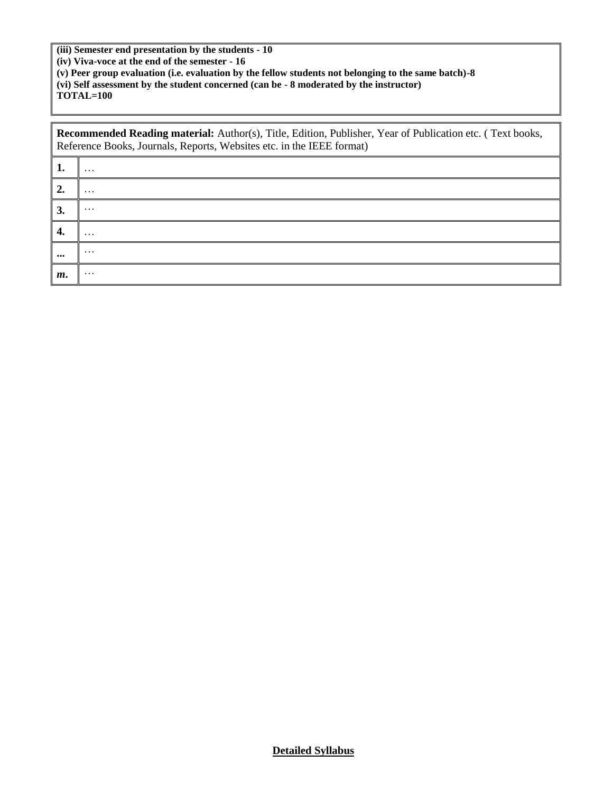**(iii) Semester end presentation by the students - 10 (iv) Viva-voce at the end of the semester - 16**

**(v) Peer group evaluation (i.e. evaluation by the fellow students not belonging to the same batch)-8 (vi) Self assessment by the student concerned (can be - 8 moderated by the instructor) TOTAL=100**

|                         | <b>Recommended Reading material:</b> Author(s), Title, Edition, Publisher, Year of Publication etc. (Text books,<br>Reference Books, Journals, Reports, Websites etc. in the IEEE format) |  |  |  |  |  |  |
|-------------------------|-------------------------------------------------------------------------------------------------------------------------------------------------------------------------------------------|--|--|--|--|--|--|
| 1.                      | $\cdots$                                                                                                                                                                                  |  |  |  |  |  |  |
| $\overline{2}$ .        | $\cdots$                                                                                                                                                                                  |  |  |  |  |  |  |
| 3.                      | $\cdots$                                                                                                                                                                                  |  |  |  |  |  |  |
| 4.                      | $\cdots$                                                                                                                                                                                  |  |  |  |  |  |  |
| $\bullet\bullet\bullet$ | $\cdots$                                                                                                                                                                                  |  |  |  |  |  |  |
| m.                      | $\cdots$                                                                                                                                                                                  |  |  |  |  |  |  |

**Detailed Syllabus**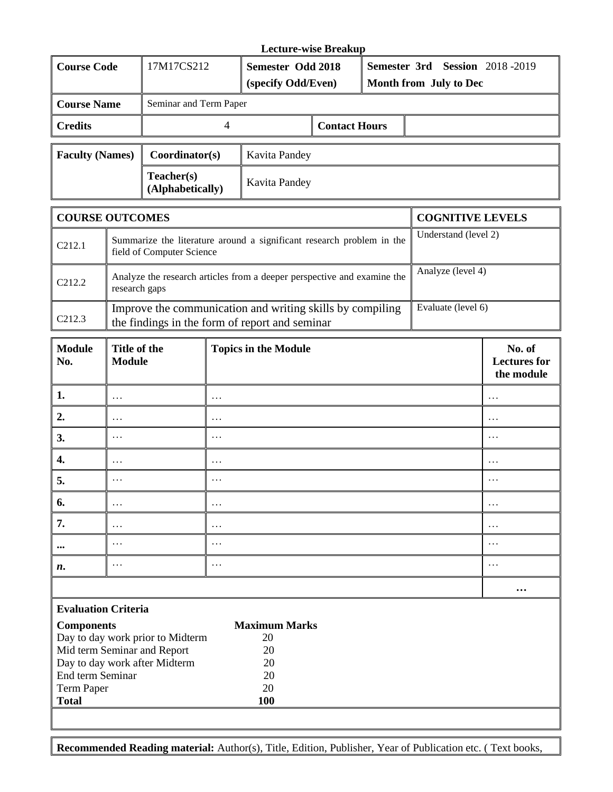|                             | <b>Lecture-wise Breakup</b>    |                                         |                      |  |                                                                 |  |  |
|-----------------------------|--------------------------------|-----------------------------------------|----------------------|--|-----------------------------------------------------------------|--|--|
| <b>Course Code</b>          | 17M17CS212                     | Semester Odd 2018<br>(specify Odd/Even) |                      |  | <b>Semester 3rd Session 2018-2019</b><br>Month from July to Dec |  |  |
| <b>Course Name</b>          | Seminar and Term Paper         |                                         |                      |  |                                                                 |  |  |
| <b>Credits</b>              |                                |                                         | <b>Contact Hours</b> |  |                                                                 |  |  |
| <b>Faculty (Names)</b>      | Coordinator(s)                 | Kavita Pandey                           |                      |  |                                                                 |  |  |
|                             | Teacher(s)<br>(Alphabetically) | Kavita Pandey                           |                      |  |                                                                 |  |  |
| $\sim$ $\sim$ $\sim$ $\sim$ |                                |                                         |                      |  |                                                                 |  |  |

|                                    | <b>COURSE OUTCOMES</b>                                                                                      | <b>COGNITIVE LEVELS</b> |
|------------------------------------|-------------------------------------------------------------------------------------------------------------|-------------------------|
| $\mid$ C <sub>212.1</sub>          | Summarize the literature around a significant research problem in the<br>field of Computer Science          | Understand (level 2)    |
| $\overline{C}$ C <sub>2</sub> 12.2 | Analyze the research articles from a deeper perspective and examine the<br>research gaps                    | Analyze (level 4)       |
| $\mid$ C <sub>212.3</sub>          | Improve the communication and writing skills by compiling<br>the findings in the form of report and seminar | Evaluate (level 6)      |

| <b>Module</b><br>No.                                                                                                                                                                                                                                                                                                                                                                 | Title of the<br><b>Module</b> | <b>Topics in the Module</b> | No. of<br><b>Lectures for</b><br>the module |  |  |  |
|--------------------------------------------------------------------------------------------------------------------------------------------------------------------------------------------------------------------------------------------------------------------------------------------------------------------------------------------------------------------------------------|-------------------------------|-----------------------------|---------------------------------------------|--|--|--|
| 1.                                                                                                                                                                                                                                                                                                                                                                                   | $\cdots$                      | $\cdots$                    | $\cdots$                                    |  |  |  |
| 2.                                                                                                                                                                                                                                                                                                                                                                                   | $\cdots$                      | $\cdots$                    | $\cdots$                                    |  |  |  |
| 3.                                                                                                                                                                                                                                                                                                                                                                                   | $\cdots$                      | $\cdots$                    | $\cdots$                                    |  |  |  |
| 4.                                                                                                                                                                                                                                                                                                                                                                                   | $\cdots$                      | $\cdots$                    | $\cdots$                                    |  |  |  |
| 5.                                                                                                                                                                                                                                                                                                                                                                                   | $\cdots$                      | $\cdots$                    | $\cdots$                                    |  |  |  |
| 6.                                                                                                                                                                                                                                                                                                                                                                                   | $\cdots$                      | $\cdots$                    | $\cdots$                                    |  |  |  |
| 7.                                                                                                                                                                                                                                                                                                                                                                                   | $\cdots$                      | $\cdots$                    | $\cdots$                                    |  |  |  |
| $\bullet\bullet\bullet$                                                                                                                                                                                                                                                                                                                                                              | $\cdots$                      | $\cdots$                    | $\cdots$                                    |  |  |  |
| n.                                                                                                                                                                                                                                                                                                                                                                                   | $\cdots$                      | $\cdots$                    | $\cdots$                                    |  |  |  |
|                                                                                                                                                                                                                                                                                                                                                                                      |                               |                             | $\bullet\bullet\bullet$                     |  |  |  |
| <b>Evaluation Criteria</b><br>$\alpha$ $\beta$<br>$\mathbf{v}$ $\mathbf{v}$ $\mathbf{v}$ $\mathbf{v}$ $\mathbf{v}$ $\mathbf{v}$ $\mathbf{v}$ $\mathbf{v}$ $\mathbf{v}$ $\mathbf{v}$ $\mathbf{v}$ $\mathbf{v}$ $\mathbf{v}$ $\mathbf{v}$ $\mathbf{v}$ $\mathbf{v}$ $\mathbf{v}$ $\mathbf{v}$ $\mathbf{v}$ $\mathbf{v}$ $\mathbf{v}$ $\mathbf{v}$ $\mathbf{v}$ $\mathbf{v}$ $\mathbf{$ |                               |                             |                                             |  |  |  |

| <b>Components</b>                | <b>Maximum Marks</b> |
|----------------------------------|----------------------|
| Day to day work prior to Midterm | 20                   |
| Mid term Seminar and Report      | 20                   |
| Day to day work after Midterm    | 20                   |
| End term Seminar                 | 20                   |
| Term Paper                       | 20                   |
| <b>Total</b>                     | 100                  |

**Recommended Reading material:** Author(s), Title, Edition, Publisher, Year of Publication etc. ( Text books,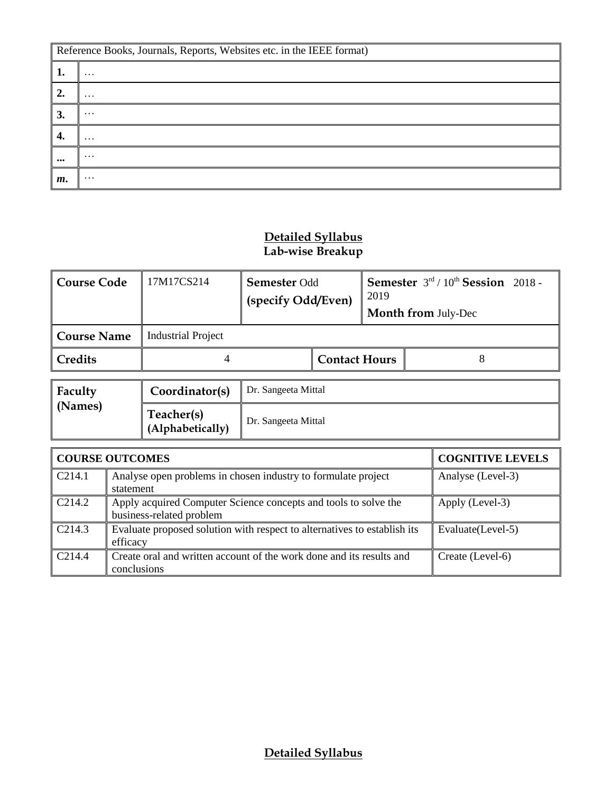|                         | Reference Books, Journals, Reports, Websites etc. in the IEEE format) |  |  |  |  |  |
|-------------------------|-----------------------------------------------------------------------|--|--|--|--|--|
| ı.                      | $\cdots$                                                              |  |  |  |  |  |
| $\overline{2}$ .        | $\cdot\cdot\cdot$                                                     |  |  |  |  |  |
| 3.                      | $\cdots$                                                              |  |  |  |  |  |
| 4.                      | $\cdots$                                                              |  |  |  |  |  |
| $\bullet\bullet\bullet$ | $\cdots$                                                              |  |  |  |  |  |
| $m$ .                   | $\cdots$                                                              |  |  |  |  |  |

## **Detailed Syllabus Lab-wise Breakup**

| <b>Course Code</b> | 17M17CS214                     | <b>Semester Odd</b><br>(specify Odd/Even) |                      | <b>Semester</b> $3rd / 10th$ <b>Session</b> 2018 -<br>2019<br><b>Month from July-Dec</b> |   |  |  |
|--------------------|--------------------------------|-------------------------------------------|----------------------|------------------------------------------------------------------------------------------|---|--|--|
| <b>Course Name</b> | <b>Industrial Project</b>      |                                           |                      |                                                                                          |   |  |  |
| Credits            |                                |                                           | <b>Contact Hours</b> |                                                                                          | 8 |  |  |
| Faculty            | Coordinator(s)                 | Dr. Sangeeta Mittal                       |                      |                                                                                          |   |  |  |
| (Names)            | Teacher(s)<br>(Alphabetically) | Dr. Sangeeta Mittal                       |                      |                                                                                          |   |  |  |
|                    |                                |                                           |                      |                                                                                          |   |  |  |

|                    | <b>COURSE OUTCOMES</b>                                                                      | <b>COGNITIVE LEVELS</b> |  |  |
|--------------------|---------------------------------------------------------------------------------------------|-------------------------|--|--|
| C <sub>214.1</sub> | Analyse open problems in chosen industry to formulate project<br>statement                  | Analyse (Level-3)       |  |  |
| C <sub>214.2</sub> | Apply acquired Computer Science concepts and tools to solve the<br>business-related problem | Apply (Level-3)         |  |  |
| C <sub>214.3</sub> | Evaluate proposed solution with respect to alternatives to establish its<br>efficacy        | Evaluate(Level-5)       |  |  |
| C <sub>214.4</sub> | Create oral and written account of the work done and its results and<br>conclusions         | Create (Level-6)        |  |  |